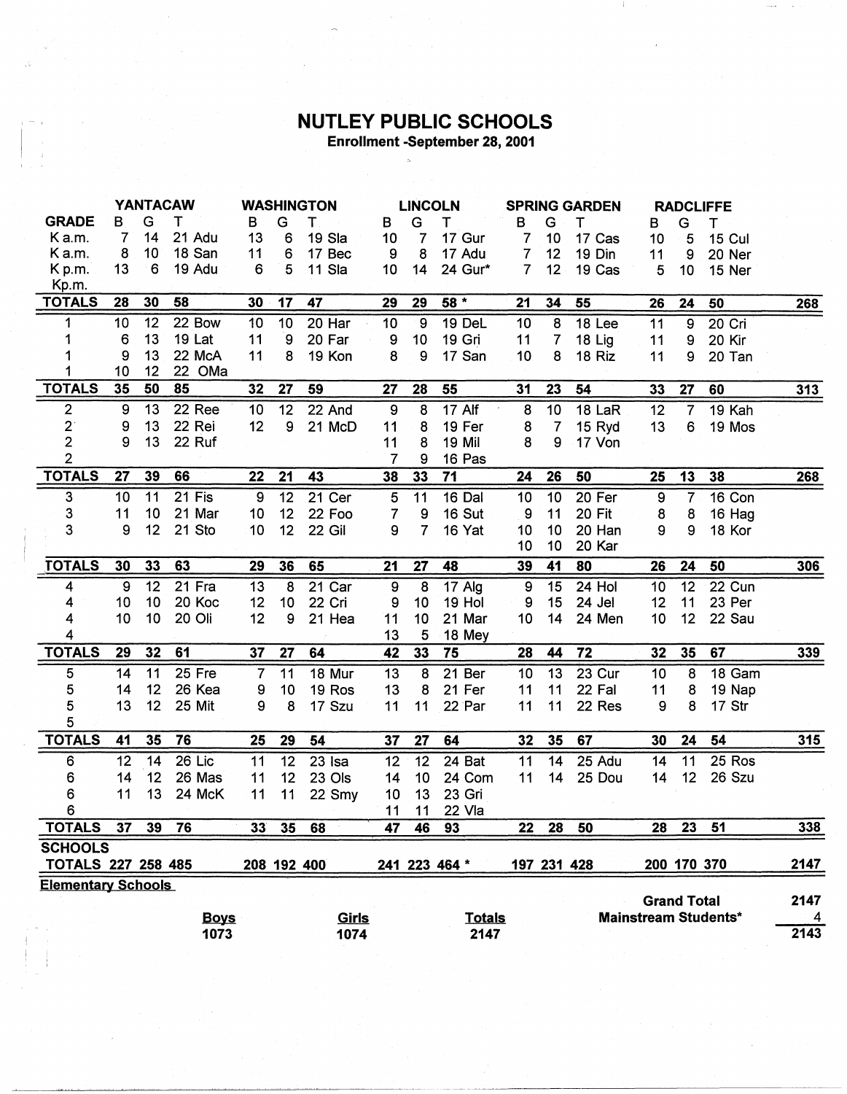## **NUTLEY PUBLIC SCHOOLS**<br>Enrollment -September 28, 2001

|                           |    |    | <b>YANTACAW</b>     | <b>WASHINGTON</b> |             |              | <b>LINCOLN</b>   |                |               | <b>SPRING GARDEN</b> |                |             | <b>RADCLIFFE</b>   |                |                             |                 |
|---------------------------|----|----|---------------------|-------------------|-------------|--------------|------------------|----------------|---------------|----------------------|----------------|-------------|--------------------|----------------|-----------------------------|-----------------|
| <b>GRADE</b>              | B  | G  | т                   | в                 | G           | T            | в                | G              | т             | в                    | G              | т           | в                  | G              | т                           |                 |
| K a.m.                    | 7  | 14 | 21 Adu              | 13                | 6           | 19 Sla       | 10               | 7              | 17 Gur        | 7                    | 10             | 17 Cas      | 10                 | 5              | <b>15 Cul</b>               |                 |
| Ka.m.                     | 8  | 10 | 18 San              | 11                | 6           | 17 Bec       | 9                | 8              | 17 Adu        | $\overline{7}$       | 12             | 19 Din      | 11                 | 9              | 20 Ner                      |                 |
| K <sub>p.m.</sub>         | 13 | 6  | 19 Adu              | 6                 | 5           | 11 Sla       | 10               | 14             | 24 Gur*       | $\overline{7}$       | 12             | 19 Cas      | 5                  | 10             | 15 Ner                      |                 |
| Kp.m.                     |    |    |                     |                   |             |              |                  |                |               |                      |                |             |                    |                |                             |                 |
| <b>TOTALS</b>             | 28 | 30 | 58                  | 30                | 17          | 47           | 29               | 29             | $58*$         | 21                   | 34             | 55          | 26                 | 24             | 50                          | 268             |
| 1                         | 10 | 12 | 22 Bow              | 10                | 10          | 20 Har       | 10               | $\overline{9}$ | 19 DeL        | 10                   | 8              | 18 Lee      | 11                 | 9              | 20 Cri                      |                 |
| 1                         | 6  | 13 | 19 Lat              | 11                | 9           | 20 Far       | 9                | 10             | 19 Gri        | 11                   | $\overline{7}$ | 18 Lig      | 11                 | 9              | 20 Kir                      |                 |
| 1                         | 9  | 13 | 22 McA              | 11                | 8           | 19 Kon       | 8                | 9              | 17 San        | 10                   | 8              | 18 Riz      | 11                 | 9              | 20 Tan                      |                 |
| 1                         | 10 | 12 | 22 OMa              |                   |             |              |                  |                |               |                      |                |             |                    |                |                             |                 |
| <b>TOTALS</b>             | 35 | 50 | 85                  | 32                | 27          | 59           | 27               | 28             | 55            | 31                   | 23             | 54          | 33                 | 27             | 60                          | 313             |
| $\mathbf 2$               | 9  | 13 | 22 Ree              | 10                | 12          | 22 And       | $\boldsymbol{9}$ | 8              | 17 Alf        | 8                    | 10             | 18 LaR      | 12                 | $\overline{7}$ | 19 Kah                      |                 |
|                           | 9  | 13 | 22 Rei              | 12                | 9           | 21 McD       | 11               | 8              | 19 Fer        | 8                    | 7              | 15 Ryd      | 13                 | 6              | 19 Mos                      |                 |
| $\frac{2}{2}$             | 9  | 13 | 22 Ruf              |                   |             |              | 11               | 8              | 19 Mil        | 8                    | 9              | 17 Von      |                    |                |                             |                 |
| $\overline{2}$            |    |    |                     |                   |             |              | $\overline{7}$   | 9              | 16 Pas        |                      |                |             |                    |                |                             |                 |
| <b>TOTALS</b>             | 27 | 39 | 66                  | 22                | 21          | 43           | 38               | 33             | 71            | 24                   | 26             | 50          | 25                 | 13             | 38                          | 268             |
| 3                         | 10 | 11 | $\overline{2}1$ Fis | 9                 | 12          | $21$ Cer     | 5                | 11             | 16 Dal        | 10                   | 10             | 20 Fer      | 9                  | $\overline{7}$ | 16 Con                      |                 |
| 3                         | 11 | 10 | 21 Mar              | 10                | 12          | 22 Foo       | 7                | 9              | 16 Sut        | 9                    | 11             | 20 Fit      | 8                  | 8              | 16 Hag                      |                 |
| 3                         | 9  | 12 | 21 Sto              | 10                | 12          | 22 Gil       | 9                | 7              | 16 Yat        | 10                   | 10             | 20 Han      | 9                  | 9              | 18 Kor                      |                 |
|                           |    |    |                     |                   |             |              |                  |                |               | 10                   | 10             | 20 Kar      |                    |                |                             |                 |
| <b>TOTALS</b>             | 30 | 33 | 63                  | 29                | 36          | 65           | 21               | 27             | 48            | 39                   | 41             | 80          | 26                 | 24             | 50                          | 306             |
| 4                         | 9  | 12 | 21 Fra              | 13                | 8           | 21 Car       | 9                | 8              | 17 Alg        | $9\,$                | 15             | 24 Hol      | 10                 | 12             | 22 Cun                      |                 |
| 4                         | 10 | 10 | 20 Koc              | 12                | 10          | 22 Cri       | 9                | 10             | 19 Hol        | 9                    | 15             | 24 Jel      | 12                 | 11             | 23 Per                      |                 |
| 4                         | 10 | 10 | 20 Oli              | 12                | 9           | 21 Hea       | 11               | 10             | 21 Mar        | 10                   | 14             | 24 Men      | 10                 | 12             | 22 Sau                      |                 |
| 4                         |    |    |                     |                   |             |              | 13               | 5              | 18 Mey        |                      |                |             |                    |                |                             |                 |
| <b>TOTALS</b>             | 29 | 32 | 61                  | 37                | 27          | 64           | 42               | 33             | 75            | 28                   | 44             | 72          | 32                 | 35             | 67                          | $\frac{339}{2}$ |
| 5                         | 14 | 11 | 25 Fre              | $\overline{7}$    | 11          | 18 Mur       | 13               | 8              | 21 Ber        | 10                   | 13             | 23 Cur      | 10                 | 8              | 18 Gam                      |                 |
| 5                         | 14 | 12 | 26 Kea              | 9                 | 10          | 19 Ros       | 13               | 8              | 21 Fer        | 11                   | 11             | 22 Fal      | 11                 | 8              | 19 Nap                      |                 |
| 5                         | 13 | 12 | 25 Mit              | 9                 | 8           | 17 Szu       | 11               | 11             | 22 Par        | 11                   | 11             | 22 Res      | 9                  | 8              | 17 Str                      |                 |
| 5                         |    |    |                     |                   |             |              |                  |                |               |                      |                |             |                    |                |                             |                 |
| <b>TOTALS</b>             | 41 | 35 | 76                  | 25                | 29          | 54           | 37               | 27             | 64            | 32                   | 35             | 67          | 30                 | 24             | 54                          | <u>315</u>      |
| 6                         | 12 | 14 | 26 Lic              | 11                | 12          | 23 Isa       | 12               | 12             | 24 Bat        | 11                   | 14             | 25 Adu      | 14                 | 11             | 25 Ros                      |                 |
| 6                         | 14 | 12 | 26 Mas              | 11                | 12          | 23 Ols       | 14               | 10             | 24 Com        | 11                   | 14             | 25 Dou      | 14                 | 12             | 26 Szu                      |                 |
| 6                         | 11 | 13 | 24 McK              | 11                | 11          | 22 Smy       | 10               | 13             | 23 Gri        |                      |                |             |                    |                |                             |                 |
| 6                         |    |    |                     |                   |             |              | 11               | 11             | 22 Vla        |                      |                |             |                    |                |                             |                 |
| <b>TOTALS</b>             | 37 | 39 | 76                  | 33                | 35          | 68           | 47               | 46             | 93            | 22                   | 28             | 50          | 28                 | 23             | 51                          | 338             |
| <b>SCHOOLS</b>            |    |    |                     |                   |             |              |                  |                |               |                      |                |             |                    |                |                             |                 |
| <b>TOTALS 227 258 485</b> |    |    |                     |                   | 208 192 400 |              |                  |                | 241 223 464 * |                      |                | 197 231 428 |                    | 200 170 370    |                             | 2147            |
| <b>Elementary Schools</b> |    |    |                     |                   |             |              |                  |                |               |                      |                |             |                    |                |                             |                 |
|                           |    |    |                     |                   |             |              |                  |                |               |                      |                |             | <b>Grand Total</b> |                |                             | 2147            |
|                           |    |    | <b>Boys</b>         |                   |             | <b>Girls</b> |                  |                | <b>Totals</b> |                      |                |             |                    |                | <b>Mainstream Students*</b> | 4               |
|                           |    |    | 1073                |                   |             | 1074         |                  |                | 2147          |                      |                |             |                    |                |                             | 2143            |